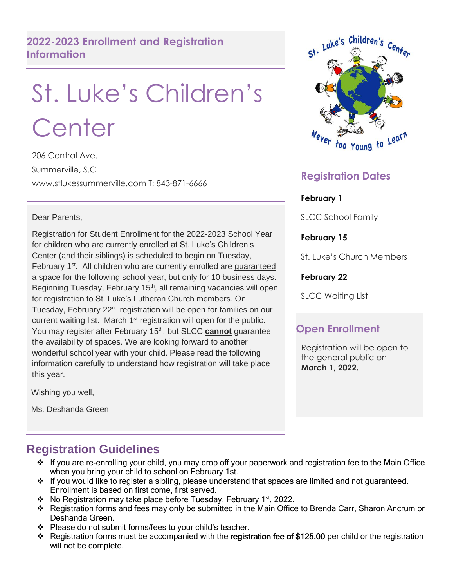## **2022-2023 Enrollment and Registration Information**

# St. Luke's Children's **Center**

206 Central Ave. Summerville, S.C www.stlukessummerville.com T: 843-871-6666

#### Dear Parents,

Registration for Student Enrollment for the 2022-2023 School Year for children who are currently enrolled at St. Luke's Children's Center (and their siblings) is scheduled to begin on Tuesday, February 1<sup>st</sup>. All children who are currently enrolled are guaranteed a space for the following school year, but only for 10 business days. Beginning Tuesday, February 15<sup>th</sup>, all remaining vacancies will open for registration to St. Luke's Lutheran Church members. On Tuesday, February 22<sup>nd</sup> registration will be open for families on our current waiting list. March 1<sup>st</sup> registration will open for the public. You may register after February 15<sup>th</sup>, but SLCC **cannot** guarantee the availability of spaces. We are looking forward to another wonderful school year with your child. Please read the following information carefully to understand how registration will take place this year.

Wishing you well,

Ms. Deshanda Green

# **Registration Guidelines**

- ❖ If you are re-enrolling your child, you may drop off your paperwork and registration fee to the Main Office when you bring your child to school on February 1st.
- ❖ If you would like to register a sibling, please understand that spaces are limited and not guaranteed. Enrollment is based on first come, first served.
- ❖ No Registration may take place before Tuesday, February 1 st , 2022.
- ❖ Registration forms and fees may only be submitted in the Main Office to Brenda Carr, Sharon Ancrum or Deshanda Green.
- ❖ Please do not submit forms/fees to your child's teacher.
- ❖ Registration forms must be accompanied with the registration fee of \$125.00 per child or the registration will not be complete.



# **Registration Dates**

#### **February 1**

SLCC School Family

**February 15**

St. Luke's Church Members

#### **February 22**

SLCC Waiting List

#### **Open Enrollment**

Registration will be open to the general public on **March 1, 2022.**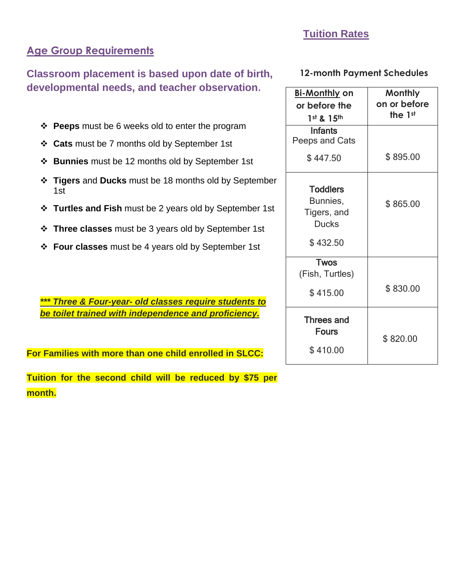### **Tuition Rates**

### **Age Group Requirements**

**Classroom placement is based upon date of birth, developmental needs, and teacher observation.**

- ❖ **Peeps** must be 6 weeks old to enter the program
- ❖ **Cats** must be 7 months old by September 1st
- ❖ **Bunnies** must be 12 months old by September 1st
- ❖ **Tigers** and **Ducks** must be 18 months old by September 1st
- ❖ **Turtles and Fish** must be 2 years old by September 1st
- ❖ **Three classes** must be 3 years old by September 1st
- ❖ **Four classes** must be 4 years old by September 1st

*\*\*\* Three & Four-year- old classes require students to be toilet trained with independence and proficiency.*

**For Families with more than one child enrolled in SLCC:**

**Tuition for the second child will be reduced by \$75 per month.**

#### **12-month Payment Schedules**

| <u>Bi-Monthly</u> on<br>or before the<br>1st & 15th        | <b>Monthly</b><br>on or before<br>the 1st |
|------------------------------------------------------------|-------------------------------------------|
| <b>Infants</b><br>Peeps and Cats                           |                                           |
| \$447.50                                                   | \$895.00                                  |
| <b>Toddlers</b><br>Bunnies,<br>Tigers, and<br><b>Ducks</b> | \$865.00                                  |
| \$432.50                                                   |                                           |
| <b>Twos</b><br>(Fish, Turtles)<br>\$415.00                 | \$830.00                                  |
| <b>Threes and</b><br><b>Fours</b><br>\$410.00              | \$820.00                                  |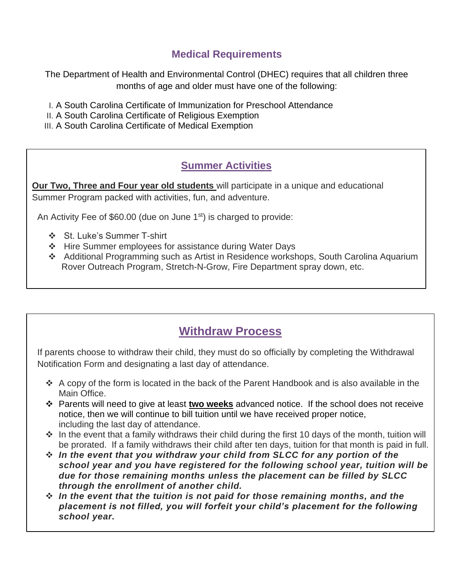### **Medical Requirements**

The Department of Health and Environmental Control (DHEC) requires that all children three months of age and older must have one of the following:

- I. A South Carolina Certificate of Immunization for Preschool Attendance
- II. A South Carolina Certificate of Religious Exemption
- III. A South Carolina Certificate of Medical Exemption

### **Summer Activities**

**Our Two, Three and Four year old students** will participate in a unique and educational Summer Program packed with activities, fun, and adventure.

An Activity Fee of  $$60.00$  (due on June 1 $\mathrm{^{st}}$ ) is charged to provide:

- ❖ St. Luke's Summer T-shirt
- ❖ Hire Summer employees for assistance during Water Days
- ❖ Additional Programming such as Artist in Residence workshops, South Carolina Aquarium Rover Outreach Program, Stretch-N-Grow, Fire Department spray down, etc.

# **Withdraw Process**

If parents choose to withdraw their child, they must do so officially by completing the Withdrawal Notification Form and designating a last day of attendance.

- ❖ A copy of the form is located in the back of the Parent Handbook and is also available in the Main Office.
- ❖ Parents will need to give at least **two weeks** advanced notice. If the school does not receive notice, then we will continue to bill tuition until we have received proper notice, including the last day of attendance.
- ❖ In the event that a family withdraws their child during the first 10 days of the month, tuition will be prorated. If a family withdraws their child after ten days, tuition for that month is paid in full.
- ❖ *In the event that you withdraw your child from SLCC for any portion of the school year and you have registered for the following school year, tuition will be due for those remaining months unless the placement can be filled by SLCC through the enrollment of another child.*
- ❖ *In the event that the tuition is not paid for those remaining months, and the placement is not filled, you will forfeit your child's placement for the following school year.*